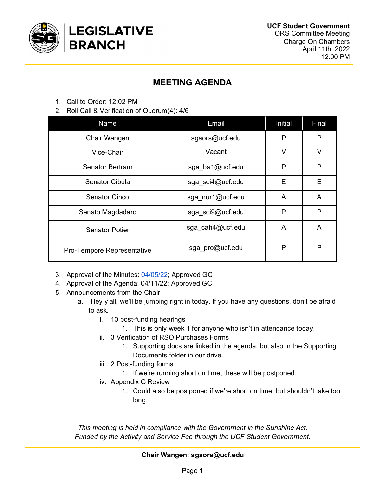

# MEETING AGENDA

- 1. Call to Order: 12:02 PM
- 2. Roll Call & Verification of Quorum(4): 4/6

| Name                       | Email            | Initial      | Final |
|----------------------------|------------------|--------------|-------|
| Chair Wangen               | sgaors@ucf.edu   | P            | P     |
| Vice-Chair                 | Vacant           | V            | V     |
| Senator Bertram            | sga ba1@ucf.edu  | P            | P     |
| Senator Cibula             | sga sci4@ucf.edu | E            | E     |
| <b>Senator Cinco</b>       | sga nur1@ucf.edu | A            | A     |
| Senato Magdadaro           | sga sci9@ucf.edu | $\mathsf{P}$ | P     |
| <b>Senator Potier</b>      | sga cah4@ucf.edu | A            | A     |
| Pro-Tempore Representative | sga pro@ucf.edu  | P            | P     |

- 3. Approval of the Minutes: 04/05/22; Approved GC
- 4. Approval of the Agenda: 04/11/22; Approved GC
- 5. Announcements from the Chair
	- a. Hey y'all, we'll be jumping right in today. If you have any questions, don't be afraid to ask.
		- i. 10 post-funding hearings
			- 1. This is only week 1 for anyone who isn't in attendance today.
		- ii. 3 Verification of RSO Purchases Forms
			- 1. Supporting docs are linked in the agenda, but also in the Supporting Documents folder in our drive.
		- iii. 2 Post-funding forms
			- 1. If we're running short on time, these will be postponed.
		- iv. Appendix C Review
			- 1. Could also be postponed if we're short on time, but shouldn't take too long.

This meeting is held in compliance with the Government in the Sunshine Act. Funded by the Activity and Service Fee through the UCF Student Government.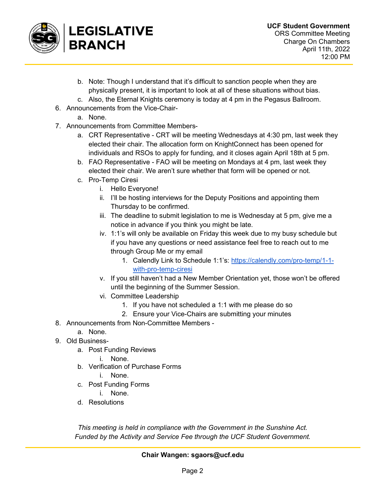

- b. Note: Though I understand that it's difficult to sanction people when they are physically present, it is important to look at all of these situations without bias.
- c. Also, the Eternal Knights ceremony is today at 4 pm in the Pegasus Ballroom.
- 6. Announcements from the Vice-Chair
	- a. None.
- 7. Announcements from Committee Members
	- a. CRT Representative CRT will be meeting Wednesdays at 4:30 pm, last week they elected their chair. The allocation form on KnightConnect has been opened for individuals and RSOs to apply for funding, and it closes again April 18th at 5 pm.
	- b. FAO Representative FAO will be meeting on Mondays at 4 pm, last week they elected their chair. We aren't sure whether that form will be opened or not.
	- c. Pro-Temp Ciresi
		- i. Hello Everyone!
		- ii. I'll be hosting interviews for the Deputy Positions and appointing them Thursday to be confirmed.
		- iii. The deadline to submit legislation to me is Wednesday at 5 pm, give me a notice in advance if you think you might be late.
		- iv. 1:1's will only be available on Friday this week due to my busy schedule but if you have any questions or need assistance feel free to reach out to me through Group Me or my email
			- 1. Calendly Link to Schedule 1:1's: https://calendly.com/pro-temp/1-1 with-pro-temp-ciresi
		- v. If you still haven't had a New Member Orientation yet, those won't be offered until the beginning of the Summer Session.
		- vi. Committee Leadership
			- 1. If you have not scheduled a 1:1 with me please do so
			- 2. Ensure your Vice-Chairs are submitting your minutes
- 8. Announcements from Non-Committee Members
	- a. None.
- 9. Old Business
	- a. Post Funding Reviews
		- i. None.
	- b. Verification of Purchase Forms
		- i. None.
	- c. Post Funding Forms
	- i. None.
	- d. Resolutions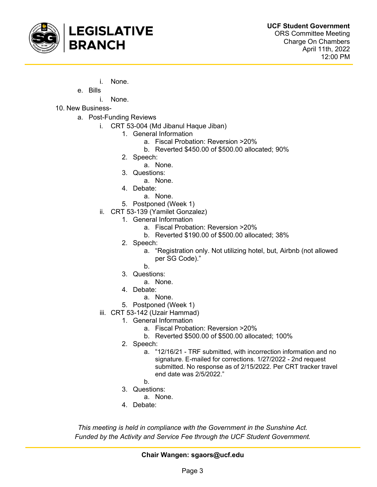

- i. None.
- e. Bills

i. None.

- 10. New Business
	- a. Post-Funding Reviews
		- i. CRT 53-004 (Md Jibanul Haque Jiban)
			- 1. General Information
				- a. Fiscal Probation: Reversion >20%
				- b. Reverted \$450.00 of \$500.00 allocated; 90%
			- 2. Speech:
				- a. None.
			- 3. Questions:
				- a. None.
			- 4. Debate:
				- a. None.
			- 5. Postponed (Week 1)
		- ii. CRT 53-139 (Yamilet Gonzalez)
			- 1. General Information
				- a. Fiscal Probation: Reversion >20%
				- b. Reverted \$190.00 of \$500.00 allocated; 38%
			- 2. Speech:
				- a. "Registration only. Not utilizing hotel, but, Airbnb (not allowed per SG Code)."
				- b.
			- 3. Questions:
				- a. None.
			- 4. Debate:
				- a. None.
			- 5. Postponed (Week 1)
		- iii. CRT 53-142 (Uzair Hammad)
			- 1. General Information
				- a. Fiscal Probation: Reversion >20%
				- b. Reverted \$500.00 of \$500.00 allocated; 100%
				- 2. Speech:
					- a. "12/16/21 TRF submitted, with incorrection information and no signature. E-mailed for corrections. 1/27/2022 - 2nd request submitted. No response as of 2/15/2022. Per CRT tracker travel end date was 2/5/2022."
					- b.
				- 3. Questions:
					- a. None.
				- 4. Debate:

This meeting is held in compliance with the Government in the Sunshine Act. Funded by the Activity and Service Fee through the UCF Student Government.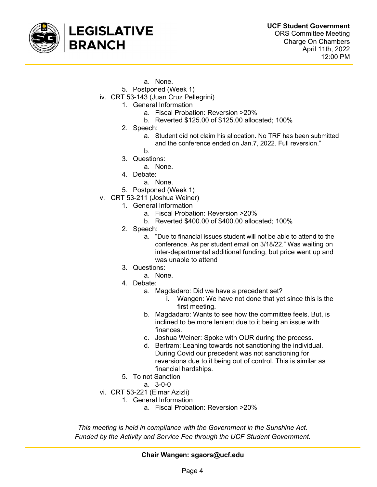

- a. None.
- 5. Postponed (Week 1)
- iv. CRT 53-143 (Juan Cruz Pellegrini)
	- 1. General Information
		- a. Fiscal Probation: Reversion >20%
		- b. Reverted \$125.00 of \$125.00 allocated; 100%
		- 2. Speech:
			- a. Student did not claim his allocation. No TRF has been submitted and the conference ended on Jan.7, 2022. Full reversion."
		- b.
		- 3. Questions:
			- a. None.
		- 4. Debate:
			- a. None.
		- 5. Postponed (Week 1)
- v. CRT 53-211 (Joshua Weiner)
	- 1. General Information
		- a. Fiscal Probation: Reversion >20%
		- b. Reverted \$400.00 of \$400.00 allocated; 100%
	- 2. Speech:
		- a. "Due to financial issues student will not be able to attend to the conference. As per student email on 3/18/22." Was waiting on inter-departmental additional funding, but price went up and was unable to attend
	- 3. Questions:
		- a. None.
	- 4. Debate:
		- a. Magdadaro: Did we have a precedent set?
			- i. Wangen: We have not done that yet since this is the first meeting.
		- b. Magdadaro: Wants to see how the committee feels. But, is inclined to be more lenient due to it being an issue with finances.
		- c. Joshua Weiner: Spoke with OUR during the process.
		- d. Bertram: Leaning towards not sanctioning the individual. During Covid our precedent was not sanctioning for reversions due to it being out of control. This is similar as financial hardships.
	- 5. To not Sanction
		- a. 3-0-0
- vi. CRT 53-221 (Elmar Azizli)
	- 1. General Information
		- a. Fiscal Probation: Reversion >20%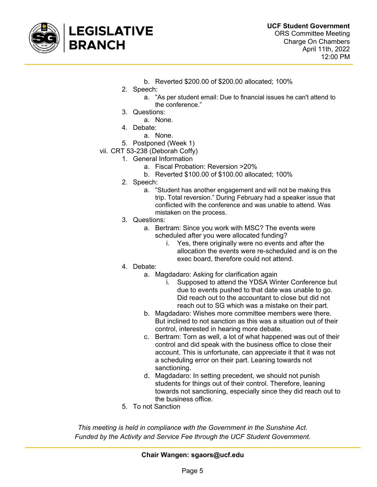

- b. Reverted \$200.00 of \$200.00 allocated; 100%
- 2. Speech:
	- a. "As per student email: Due to financial issues he can't attend to the conference."
- 3. Questions:
	- a. None.
- 4. Debate:
	- a. None.
- 5. Postponed (Week 1)
- vii. CRT 53-238 (Deborah Coffy)
	- 1. General Information
		- a. Fiscal Probation: Reversion >20%
		- b. Reverted \$100.00 of \$100.00 allocated; 100%
		- 2. Speech:
			- a. "Student has another engagement and will not be making this trip. Total reversion." During February had a speaker issue that conflicted with the conference and was unable to attend. Was mistaken on the process.
		- 3. Questions:
			- a. Bertram: Since you work with MSC? The events were scheduled after you were allocated funding?
				- i. Yes, there originally were no events and after the allocation the events were re-scheduled and is on the exec board, therefore could not attend.
		- 4. Debate:
			- a. Magdadaro: Asking for clarification again
				- i. Supposed to attend the YDSA Winter Conference but due to events pushed to that date was unable to go. Did reach out to the accountant to close but did not reach out to SG which was a mistake on their part.
			- b. Magdadaro: Wishes more committee members were there. But inclined to not sanction as this was a situation out of their control, interested in hearing more debate.
			- c. Bertram: Torn as well, a lot of what happened was out of their control and did speak with the business office to close their account. This is unfortunate, can appreciate it that it was not a scheduling error on their part. Leaning towards not sanctioning.
			- d. Magdadaro: In setting precedent, we should not punish students for things out of their control. Therefore, leaning towards not sanctioning, especially since they did reach out to the business office.
		- 5. To not Sanction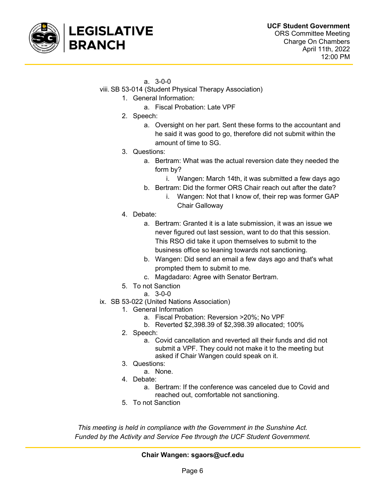

#### a. 3-0-0

- viii. SB 53-014 (Student Physical Therapy Association)
	- 1. General Information:
		- a. Fiscal Probation: Late VPF
		- 2. Speech:
			- a. Oversight on her part. Sent these forms to the accountant and he said it was good to go, therefore did not submit within the amount of time to SG.
		- 3. Questions:
			- a. Bertram: What was the actual reversion date they needed the form by?
				- i. Wangen: March 14th, it was submitted a few days ago
			- b. Bertram: Did the former ORS Chair reach out after the date?
				- i. Wangen: Not that I know of, their rep was former GAP Chair Galloway
		- 4. Debate:
			- a. Bertram: Granted it is a late submission, it was an issue we never figured out last session, want to do that this session. This RSO did take it upon themselves to submit to the business office so leaning towards not sanctioning.
			- b. Wangen: Did send an email a few days ago and that's what prompted them to submit to me.
			- c. Magdadaro: Agree with Senator Bertram.
		- 5. To not Sanction
			- a. 3-0-0
- ix. SB 53-022 (United Nations Association)
	- 1. General Information
		- a. Fiscal Probation: Reversion >20%; No VPF
		- b. Reverted \$2,398.39 of \$2,398.39 allocated; 100%
	- 2. Speech:
		- a. Covid cancellation and reverted all their funds and did not submit a VPF. They could not make it to the meeting but asked if Chair Wangen could speak on it.
	- 3. Questions:
		- a. None.
	- 4. Debate:
		- a. Bertram: If the conference was canceled due to Covid and reached out, comfortable not sanctioning.
	- 5. To not Sanction

This meeting is held in compliance with the Government in the Sunshine Act. Funded by the Activity and Service Fee through the UCF Student Government.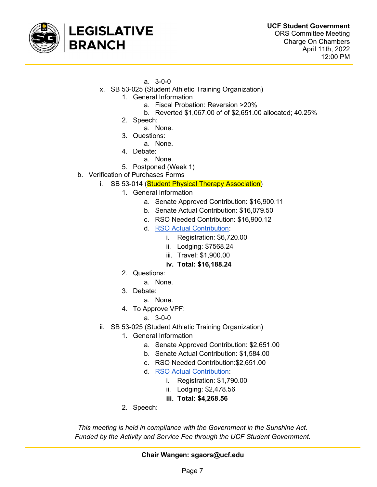

- a. 3-0-0
- x. SB 53-025 (Student Athletic Training Organization)
	- 1. General Information
		- a. Fiscal Probation: Reversion >20%
		- b. Reverted \$1,067.00 of of \$2,651.00 allocated; 40.25%
		- 2. Speech:
			- a. None.
		- 3. Questions:
			- a. None.
		- 4. Debate:
			- a. None.
		- 5. Postponed (Week 1)
- b. Verification of Purchases Forms
	- i. SB 53-014 (Student Physical Therapy Association)
		- 1. General Information
			- a. Senate Approved Contribution: \$16,900.11
			- b. Senate Actual Contribution: \$16,079.50
			- c. RSO Needed Contribution: \$16,900.12
			- d. RSO Actual Contribution:
				- i. Registration: \$6,720.00
				- ii. Lodging: \$7568.24
				- iii. Travel: \$1,900.00
				- iv. Total: \$16,188.24
		- 2. Questions:
			- a. None.
		- 3. Debate:
			- a. None.
		- 4. To Approve VPF:
			- a. 3-0-0
	- ii. SB 53-025 (Student Athletic Training Organization)
		- 1. General Information
			- a. Senate Approved Contribution: \$2,651.00
			- b. Senate Actual Contribution: \$1,584.00
			- c. RSO Needed Contribution:\$2,651.00
			- d. RSO Actual Contribution:
				- i. Registration: \$1,790.00
				- ii. Lodging: \$2,478.56
				- iii. Total: \$4,268.56
		- 2. Speech: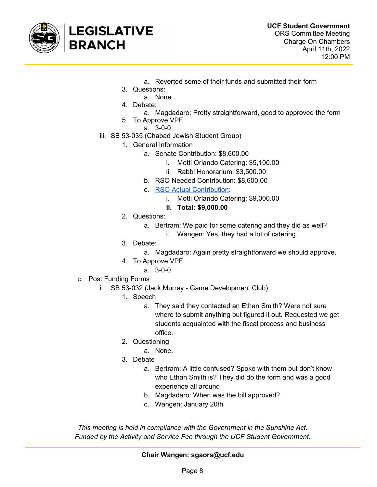

- a. Reverted some of their funds and submitted their form
- 3. Questions:
	- a. None.
- 4. Debate:
	- a. Magdadaro: Pretty straightforward, good to approved the form
- 5. To Approve VPF
	- a. 3-0-0
- iii. SB 53-035 (Chabad Jewish Student Group)
	- 1. General Information
		- a. Senate Contribution: \$8,600.00
			- i. Motti Orlando Catering: \$5,100.00
			- ii. Rabbi Honorarium: \$3,500.00
		- b. RSO Needed Contribution: \$8,600.00
		- c. RSO Actual Contribution:
			- i. Motti Orlando Catering: \$9,000.00
			- ii. Total: \$9,000.00
	- 2. Questions:
		- a. Bertram: We paid for some catering and they did as well?
			- i. Wangen: Yes, they had a lot of catering.
	- 3. Debate:
		- a. Magdadaro: Again pretty straightforward we should approve.
	- 4. To Approve VPF:
		- a. 3-0-0
- c. Post Funding Forms
	- i. SB 53-032 (Jack Murray Game Development Club)
		- 1. Speech
			- a. They said they contacted an Ethan Smith? Were not sure where to submit anything but figured it out. Requested we get students acquainted with the fiscal process and business office.
		- 2. Questioning
			- a. None.
		- 3. Debate
			- a. Bertram: A little confused? Spoke with them but don't know who Ethan Smith is? They did do the form and was a good experience all around
			- b. Magdadaro: When was the bill approved?
			- c. Wangen: January 20th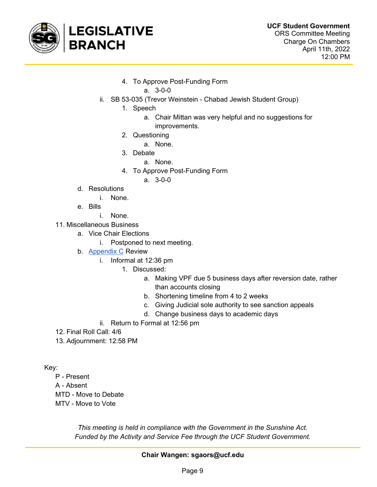

4. To Approve Post-Funding Form

a. 3-0-0

- ii. SB 53-035 (Trevor Weinstein Chabad Jewish Student Group)
	- 1. Speech
		- a. Chair Mittan was very helpful and no suggestions for improvements.
	- 2. Questioning
		- a. None.
	- 3. Debate
		- a. None.
	- 4. To Approve Post-Funding Form

a. 3-0-0

- d. Resolutions
	- i. None.
- e. Bills
	- i. None.
- 11. Miscellaneous Business
	- a. Vice Chair Elections
		- i. Postponed to next meeting.
	- b. Appendix C Review
		- i. Informal at 12:36 pm
			- 1. Discussed:
				- a. Making VPF due 5 business days after reversion date, rather than accounts closing
				- b. Shortening timeline from 4 to 2 weeks
				- c. Giving Judicial sole authority to see sanction appeals
				- d. Change business days to academic days
		- ii. Return to Formal at 12:56 pm
- 12. Final Roll Call: 4/6
- 13. Adjournment: 12:58 PM

Key:

- P Present
- A Absent
- MTD Move to Debate
- MTV Move to Vote

This meeting is held in compliance with the Government in the Sunshine Act. Funded by the Activity and Service Fee through the UCF Student Government.